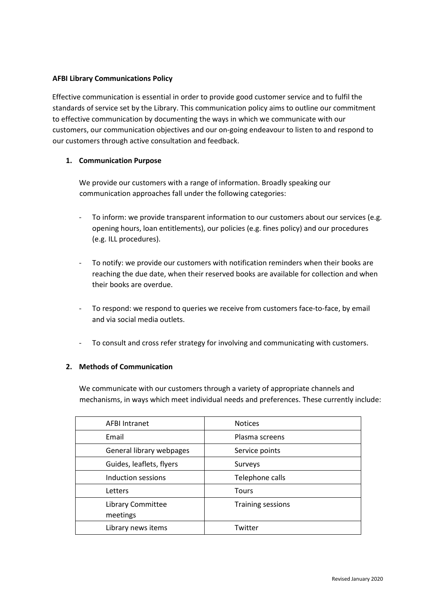# **AFBI Library Communications Policy**

Effective communication is essential in order to provide good customer service and to fulfil the standards of service set by the Library. This communication policy aims to outline our commitment to effective communication by documenting the ways in which we communicate with our customers, our communication objectives and our on‐going endeavour to listen to and respond to our customers through active consultation and feedback.

# **1. Communication Purpose**

We provide our customers with a range of information. Broadly speaking our communication approaches fall under the following categories:

- ‐ To inform: we provide transparent information to our customers about our services (e.g. opening hours, loan entitlements), our policies (e.g. fines policy) and our procedures (e.g. ILL procedures).
- ‐ To notify: we provide our customers with notification reminders when their books are reaching the due date, when their reserved books are available for collection and when their books are overdue.
- ‐ To respond: we respond to queries we receive from customers face‐to‐face, by email and via social media outlets.
- ‐ To consult and cross refer strategy for involving and communicating with customers.

# **2. Methods of Communication**

We communicate with our customers through a variety of appropriate channels and mechanisms, in ways which meet individual needs and preferences. These currently include:

| <b>AFBI Intranet</b>          | <b>Notices</b>           |
|-------------------------------|--------------------------|
| Email                         | Plasma screens           |
| General library webpages      | Service points           |
| Guides, leaflets, flyers      | Surveys                  |
| Induction sessions            | Telephone calls          |
| Letters                       | Tours                    |
| Library Committee<br>meetings | <b>Training sessions</b> |
| Library news items            | Twitter                  |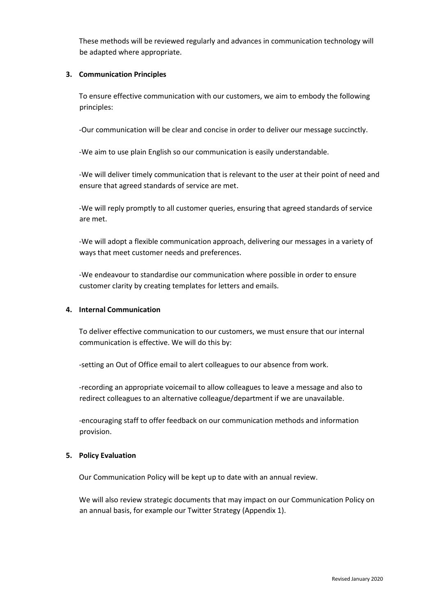These methods will be reviewed regularly and advances in communication technology will be adapted where appropriate.

# **3. Communication Principles**

To ensure effective communication with our customers, we aim to embody the following principles:

‐Our communication will be clear and concise in order to deliver our message succinctly.

‐We aim to use plain English so our communication is easily understandable.

‐We will deliver timely communication that is relevant to the user at their point of need and ensure that agreed standards of service are met.

‐We will reply promptly to all customer queries, ensuring that agreed standards of service are met.

‐We will adopt a flexible communication approach, delivering our messages in a variety of ways that meet customer needs and preferences.

‐We endeavour to standardise our communication where possible in order to ensure customer clarity by creating templates for letters and emails.

## **4. Internal Communication**

To deliver effective communication to our customers, we must ensure that our internal communication is effective. We will do this by:

‐setting an Out of Office email to alert colleagues to our absence from work.

‐recording an appropriate voicemail to allow colleagues to leave a message and also to redirect colleagues to an alternative colleague/department if we are unavailable.

‐encouraging staff to offer feedback on our communication methods and information provision.

# **5. Policy Evaluation**

Our Communication Policy will be kept up to date with an annual review.

We will also review strategic documents that may impact on our Communication Policy on an annual basis, for example our Twitter Strategy (Appendix 1).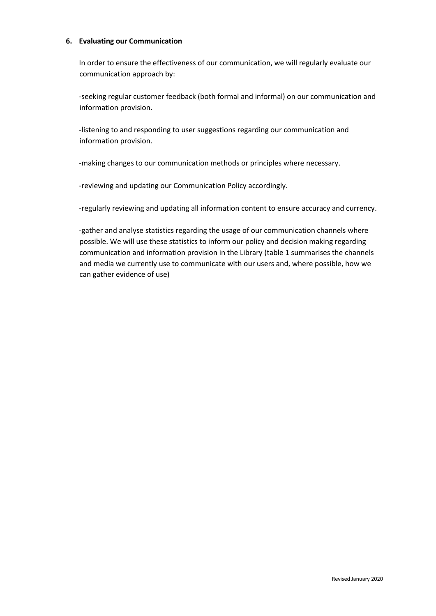#### **6. Evaluating our Communication**

In order to ensure the effectiveness of our communication, we will regularly evaluate our communication approach by:

‐seeking regular customer feedback (both formal and informal) on our communication and information provision.

‐listening to and responding to user suggestions regarding our communication and information provision.

‐making changes to our communication methods or principles where necessary.

‐reviewing and updating our Communication Policy accordingly.

‐regularly reviewing and updating all information content to ensure accuracy and currency.

‐gather and analyse statistics regarding the usage of our communication channels where possible. We will use these statistics to inform our policy and decision making regarding communication and information provision in the Library (table 1 summarises the channels and media we currently use to communicate with our users and, where possible, how we can gather evidence of use)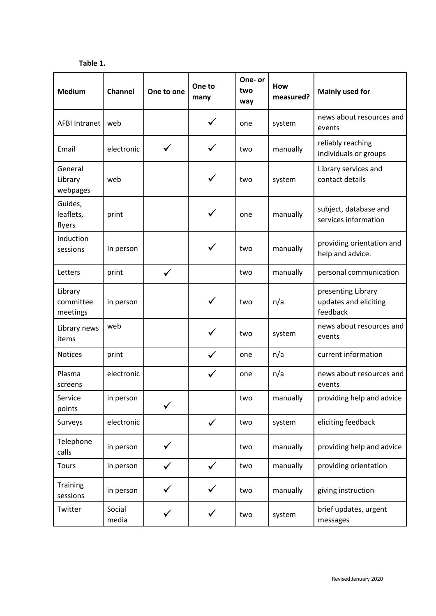**Table 1.** 

| <b>Medium</b>                    | Channel         | One to one   | One to<br>many | One- or<br>two<br>way | <b>How</b><br>measured? | <b>Mainly used for</b>                                  |
|----------------------------------|-----------------|--------------|----------------|-----------------------|-------------------------|---------------------------------------------------------|
| AFBI Intranet                    | web             |              | ✓              | one                   | system                  | news about resources and<br>events                      |
| Email                            | electronic      | $\checkmark$ |                | two                   | manually                | reliably reaching<br>individuals or groups              |
| General<br>Library<br>webpages   | web             |              |                | two                   | system                  | Library services and<br>contact details                 |
| Guides,<br>leaflets,<br>flyers   | print           |              |                | one                   | manually                | subject, database and<br>services information           |
| Induction<br>sessions            | In person       |              |                | two                   | manually                | providing orientation and<br>help and advice.           |
| Letters                          | print           | $\checkmark$ |                | two                   | manually                | personal communication                                  |
| Library<br>committee<br>meetings | in person       |              |                | two                   | n/a                     | presenting Library<br>updates and eliciting<br>feedback |
| Library news<br>items            | web             |              | ✓              | two                   | system                  | news about resources and<br>events                      |
| <b>Notices</b>                   | print           |              | ✓              | one                   | n/a                     | current information                                     |
| Plasma<br>screens                | electronic      |              |                | one                   | n/a                     | news about resources and<br>events                      |
| Service<br>points                | in person       |              |                | two                   | manually                | providing help and advice                               |
| Surveys                          | electronic      |              | $\checkmark$   | two                   | system                  | eliciting feedback                                      |
| Telephone<br>calls               | in person       |              |                | two                   | manually                | providing help and advice                               |
| <b>Tours</b>                     | in person       |              | $\checkmark$   | two                   | manually                | providing orientation                                   |
| <b>Training</b><br>sessions      | in person       |              |                | two                   | manually                | giving instruction                                      |
| Twitter                          | Social<br>media | ✓            | $\checkmark$   | two                   | system                  | brief updates, urgent<br>messages                       |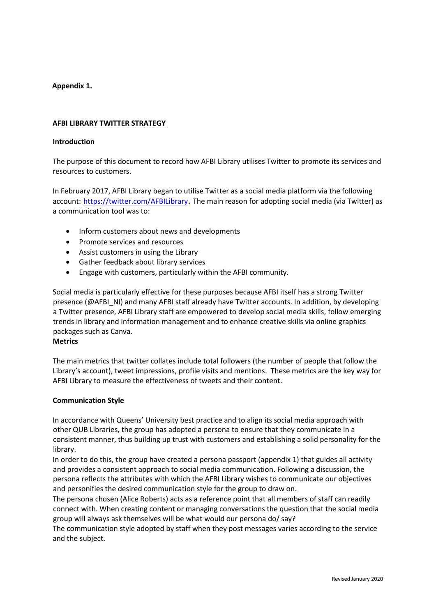# **Appendix 1.**

# **AFBI LIBRARY TWITTER STRATEGY**

## **Introduction**

The purpose of this document to record how AFBI Library utilises Twitter to promote its services and resources to customers.

In February 2017, AFBI Library began to utilise Twitter as a social media platform via the following account: https://twitter.com/AFBILibrary. The main reason for adopting social media (via Twitter) as a communication tool was to:

- Inform customers about news and developments
- Promote services and resources
- Assist customers in using the Library
- Gather feedback about library services
- Engage with customers, particularly within the AFBI community.

Social media is particularly effective for these purposes because AFBI itself has a strong Twitter presence (@AFBI\_NI) and many AFBI staff already have Twitter accounts. In addition, by developing a Twitter presence, AFBI Library staff are empowered to develop social media skills, follow emerging trends in library and information management and to enhance creative skills via online graphics packages such as Canva.

#### **Metrics**

The main metrics that twitter collates include total followers (the number of people that follow the Library's account), tweet impressions, profile visits and mentions. These metrics are the key way for AFBI Library to measure the effectiveness of tweets and their content.

# **Communication Style**

In accordance with Queens' University best practice and to align its social media approach with other QUB Libraries, the group has adopted a persona to ensure that they communicate in a consistent manner, thus building up trust with customers and establishing a solid personality for the library.

In order to do this, the group have created a persona passport (appendix 1) that guides all activity and provides a consistent approach to social media communication. Following a discussion, the persona reflects the attributes with which the AFBI Library wishes to communicate our objectives and personifies the desired communication style for the group to draw on.

The persona chosen (Alice Roberts) acts as a reference point that all members of staff can readily connect with. When creating content or managing conversations the question that the social media group will always ask themselves will be what would our persona do/ say?

The communication style adopted by staff when they post messages varies according to the service and the subject.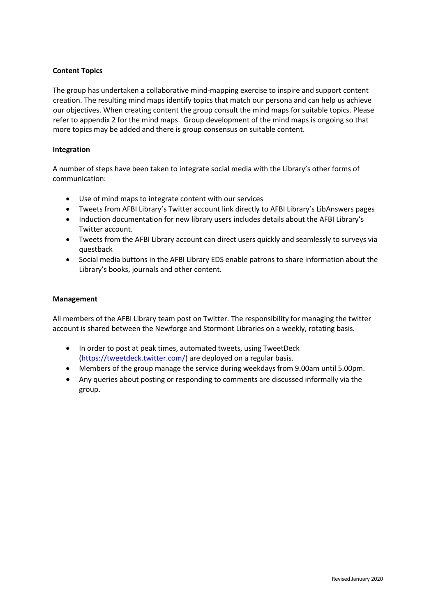# **Content Topics**

The group has undertaken a collaborative mind-mapping exercise to inspire and support content creation. The resulting mind maps identify topics that match our persona and can help us achieve our objectives. When creating content the group consult the mind maps for suitable topics. Please refer to appendix 2 for the mind maps. Group development of the mind maps is ongoing so that more topics may be added and there is group consensus on suitable content.

# **Integration**

A number of steps have been taken to integrate social media with the Library's other forms of communication:

- Use of mind maps to integrate content with our services
- Tweets from AFBI Library's Twitter account link directly to AFBI Library's LibAnswers pages
- Induction documentation for new library users includes details about the AFBI Library's Twitter account.
- Tweets from the AFBI Library account can direct users quickly and seamlessly to surveys via questback
- Social media buttons in the AFBI Library EDS enable patrons to share information about the Library's books, journals and other content.

# **Management**

All members of the AFBI Library team post on Twitter. The responsibility for managing the twitter account is shared between the Newforge and Stormont Libraries on a weekly, rotating basis.

- In order to post at peak times, automated tweets, using TweetDeck [\(https://tweetdeck.twitter.com/\)](https://tweetdeck.twitter.com/) are deployed on a regular basis.
- Members of the group manage the service during weekdays from 9.00am until 5.00pm.
- Any queries about posting or responding to comments are discussed informally via the group.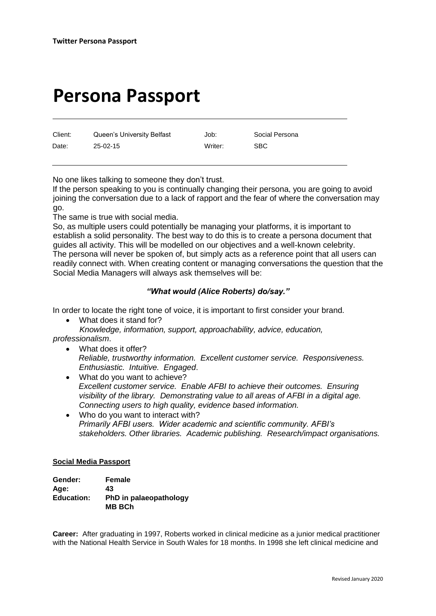# **Persona Passport**

Client: Queen's University Belfast Job: Social Persona Date: 25-02-15 Writer: SBC

No one likes talking to someone they don't trust.

If the person speaking to you is continually changing their persona, you are going to avoid joining the conversation due to a lack of rapport and the fear of where the conversation may go.

The same is true with social media.

So, as multiple users could potentially be managing your platforms, it is important to establish a solid personality. The best way to do this is to create a persona document that guides all activity. This will be modelled on our objectives and a well-known celebrity. The persona will never be spoken of, but simply acts as a reference point that all users can readily connect with. When creating content or managing conversations the question that the Social Media Managers will always ask themselves will be:

# *"What would (Alice Roberts) do/say."*

In order to locate the right tone of voice, it is important to first consider your brand.

• What does it stand for? *Knowledge, information, support, approachability, advice, education,* 

*professionalism*.

- What does it offer? *Reliable, trustworthy information. Excellent customer service. Responsiveness. Enthusiastic. Intuitive. Engaged*.
- What do you want to achieve? *Excellent customer service. Enable AFBI to achieve their outcomes. Ensuring visibility of the library. Demonstrating value to all areas of AFBI in a digital age. Connecting users to high quality, evidence based information.*
- Who do you want to interact with? *Primarily AFBI users. Wider academic and scientific community. AFBI's stakeholders. Other libraries. Academic publishing. Research/impact organisations.*

# **Social Media Passport**

| Gender:           | Female                                  |
|-------------------|-----------------------------------------|
| Age:              | 43                                      |
| <b>Education:</b> | PhD in palaeopathology<br><b>MB BCh</b> |

**Career:** After graduating in 1997, Roberts worked in clinical medicine as a junior medical practitioner with the [National Health Service](https://en.wikipedia.org/wiki/National_Health_Service) in [South Wales](https://en.wikipedia.org/wiki/South_Wales) for 18 months. In 1998 she left clinical medicine and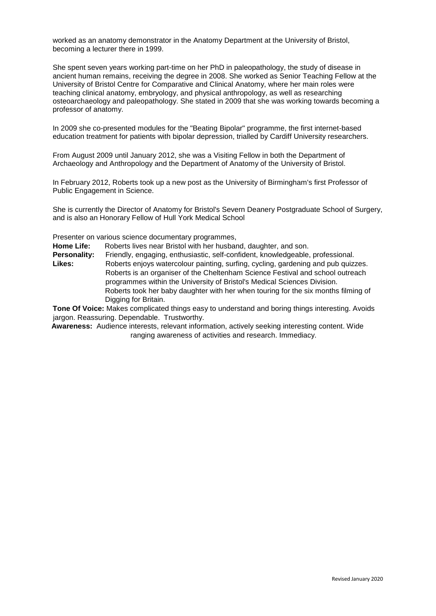worked as an anatomy demonstrator in the Anatomy Department at the [University of Bristol,](https://en.wikipedia.org/wiki/University_of_Bristol) becoming a lecturer there in 1999.

She spent seven years working part-time on her PhD in [paleopathology,](https://en.wikipedia.org/wiki/Paleopathology) the study of disease in ancient human remains, receiving the degree in 2008. She worked as Senior Teaching Fellow at the University of Bristol Centre for Comparative and Clinical Anatomy, where her main roles were teaching clinical [anatomy,](https://en.wikipedia.org/wiki/Anatomy) [embryology,](https://en.wikipedia.org/wiki/Embryology) and [physical anthropology,](https://en.wikipedia.org/wiki/Physical_anthropology) as well as researching [osteoarchaeology](https://en.wikipedia.org/wiki/Bioarchaeology) and paleopathology. She stated in 2009 that she was working towards becoming a professor of anatomy.

In 2009 she co-presented modules for the "Beating Bipolar" programme, the first internet-based education treatment for patients with [bipolar depression,](https://en.wikipedia.org/wiki/Bipolar_depression) trialled by [Cardiff University](https://en.wikipedia.org/wiki/Cardiff_University) researchers.

From August 2009 until January 2012, she was a Visiting Fellow in both the Department of Archaeology and Anthropology and the Department of Anatomy of the [University of Bristol.](https://en.wikipedia.org/wiki/University_of_Bristol)

In February 2012, Roberts took up a new post as the [University of Birmingham's](https://en.wikipedia.org/wiki/University_of_Birmingham) first Professor of Public Engagement in Science.

She is currently the Director of Anatomy for Bristol's Severn Deanery Postgraduate School of Surgery, and is also an Honorary Fellow of [Hull York Medical School](https://en.wikipedia.org/wiki/Hull_York_Medical_School)

Presenter on various science documentary programmes,

**Home Life:** Roberts lives near Bristol with her husband, daughter, and son.

**Personality:** Friendly, engaging, enthusiastic, self-confident, knowledgeable, professional.

**Likes:** Roberts enjoys watercolour painting, surfing, cycling, gardening and pub quizzes. Roberts is an organiser of the Cheltenham Science Festival and school outreach programmes within the University of Bristol's Medical Sciences Division. Roberts took her baby daughter with her when touring for the six months filming of Digging for Britain.

**Tone Of Voice:** Makes complicated things easy to understand and boring things interesting. Avoids jargon. Reassuring. Dependable. Trustworthy.

**Awareness:** Audience interests, relevant information, actively seeking interesting content. Wide ranging awareness of activities and research. Immediacy.